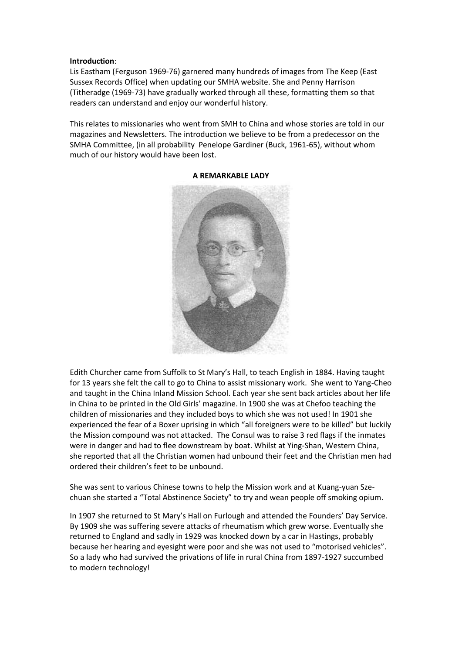## **Introduction**:

Lis Eastham (Ferguson 1969-76) garnered many hundreds of images from The Keep (East Sussex Records Office) when updating our SMHA website. She and Penny Harrison (Titheradge (1969-73) have gradually worked through all these, formatting them so that readers can understand and enjoy our wonderful history.

This relates to missionaries who went from SMH to China and whose stories are told in our magazines and Newsletters. The introduction we believe to be from a predecessor on the SMHA Committee, (in all probability Penelope Gardiner (Buck, 1961-65), without whom much of our history would have been lost.



## **A REMARKABLE LADY**

Edith Churcher came from Suffolk to St Mary's Hall, to teach English in 1884. Having taught for 13 years she felt the call to go to China to assist missionary work. She went to Yang-Cheo and taught in the China Inland Mission School. Each year she sent back articles about her life in China to be printed in the Old Girls' magazine. In 1900 she was at Chefoo teaching the children of missionaries and they included boys to which she was not used! In 1901 she experienced the fear of a Boxer uprising in which "all foreigners were to be killed" but luckily the Mission compound was not attacked. The Consul was to raise 3 red flags if the inmates were in danger and had to flee downstream by boat. Whilst at Ying-Shan, Western China, she reported that all the Christian women had unbound their feet and the Christian men had ordered their children's feet to be unbound.

She was sent to various Chinese towns to help the Mission work and at Kuang-yuan Szechuan she started a "Total Abstinence Society" to try and wean people off smoking opium.

In 1907 she returned to St Mary's Hall on Furlough and attended the Founders' Day Service. By 1909 she was suffering severe attacks of rheumatism which grew worse. Eventually she returned to England and sadly in 1929 was knocked down by a car in Hastings, probably because her hearing and eyesight were poor and she was not used to "motorised vehicles". So a lady who had survived the privations of life in rural China from 1897-1927 succumbed to modern technology!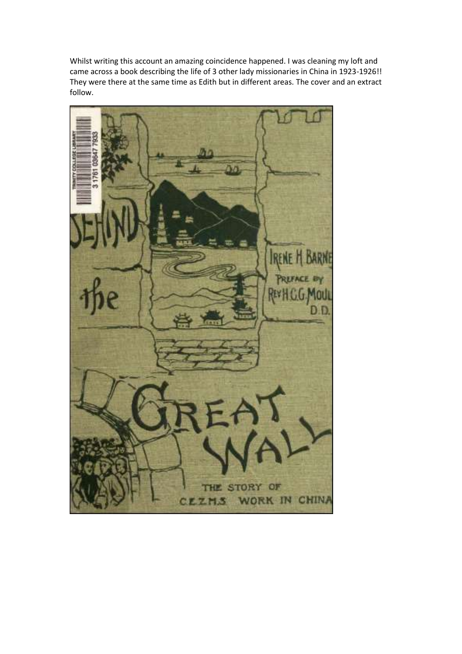Whilst writing this account an amazing coincidence happened. I was cleaning my loft and came across a book describing the life of 3 other lady missionaries in China in 1923-1926!! They were there at the same time as Edith but in different areas. The cover and an extract follow.